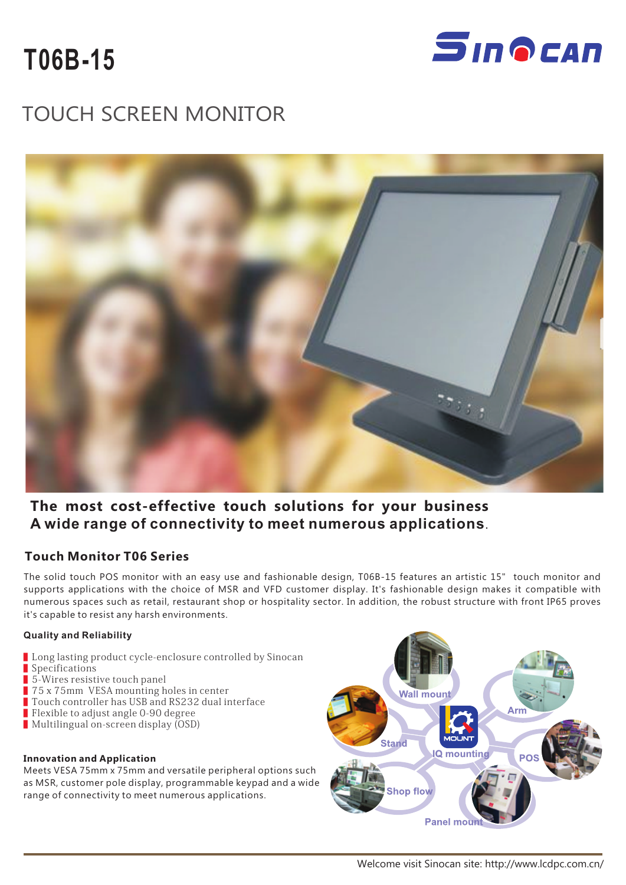



# TOUCH SCREEN MONITOR



### **The most cost-effective touch solutions for your business A wide range of connectivity to meet numerous applications**.

### **Touch Monitor T06 Series**

The solid touch POS monitor with an easy use and fashionable design, T06B-15 features an artistic 15" touch monitor and supports applications with the choice of MSR and VFD customer display. It's fashionable design makes it compatible with numerous spaces such as retail, restaurant shop or hospitality sector. In addition, the robust structure with front IP65 proves it's capable to resist any harsh environments.

#### **Quality and Reliability**

- Long lasting product cycle-enclosure controlled by Sinocan
- Specifications
- 5-Wires resistive touch panel
- 75 x 75mm VESA mounting holes in center
- Touch controller has USB and RS232 dual interface
- Flexible to adjust angle 0-90 degree
- Multilingual on-screen display (OSD)

#### **Innovation and Application**

Meets VESA 75mm x 75mm and versatile peripheral options such as MSR, customer pole display, programmable keypad and a wide range of connectivity to meet numerous applications.